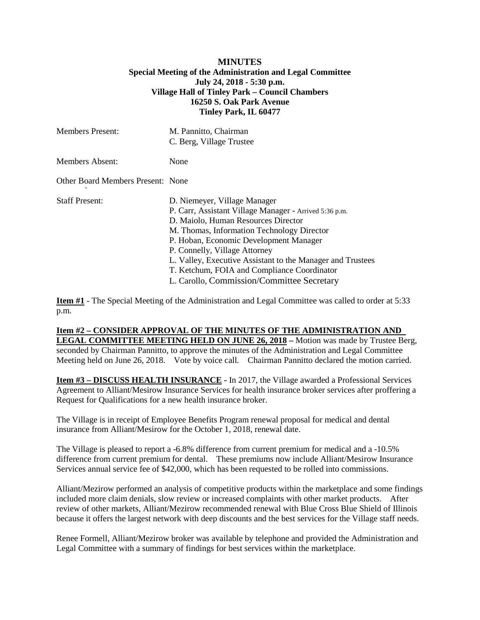## **MINUTES Special Meeting of the Administration and Legal Committee July 24, 2018 - 5:30 p.m. Village Hall of Tinley Park – Council Chambers 16250 S. Oak Park Avenue Tinley Park, IL 60477**

| <b>Members Present:</b>           | M. Pannitto, Chairman<br>C. Berg, Village Trustee                                                                                                                                                                                                                                                                                                                                                                 |
|-----------------------------------|-------------------------------------------------------------------------------------------------------------------------------------------------------------------------------------------------------------------------------------------------------------------------------------------------------------------------------------------------------------------------------------------------------------------|
| <b>Members Absent:</b>            | None                                                                                                                                                                                                                                                                                                                                                                                                              |
| Other Board Members Present: None |                                                                                                                                                                                                                                                                                                                                                                                                                   |
| <b>Staff Present:</b>             | D. Niemeyer, Village Manager<br>P. Carr, Assistant Village Manager - Arrived 5:36 p.m.<br>D. Maiolo, Human Resources Director<br>M. Thomas, Information Technology Director<br>P. Hoban, Economic Development Manager<br>P. Connelly, Village Attorney<br>L. Valley, Executive Assistant to the Manager and Trustees<br>T. Ketchum, FOIA and Compliance Coordinator<br>L. Carollo, Commission/Committee Secretary |

**Item #1** - The Special Meeting of the Administration and Legal Committee was called to order at 5:33 p.m.

## **Item #2 – CONSIDER APPROVAL OF THE MINUTES OF THE ADMINISTRATION AND LEGAL COMMITTEE MEETING HELD ON JUNE 26, 2018 –** Motion was made by Trustee Berg, seconded by Chairman Pannitto, to approve the minutes of the Administration and Legal Committee Meeting held on June 26, 2018. Vote by voice call. Chairman Pannitto declared the motion carried.

**Item #3 – DISCUSS HEALTH INSURANCE -** In 2017, the Village awarded a Professional Services Agreement to Alliant/Mesirow Insurance Services for health insurance broker services after proffering a Request for Qualifications for a new health insurance broker.

The Village is in receipt of Employee Benefits Program renewal proposal for medical and dental insurance from Alliant/Mesirow for the October 1, 2018, renewal date.

The Village is pleased to report a -6.8% difference from current premium for medical and a -10.5% difference from current premium for dental. These premiums now include Alliant/Mesirow Insurance Services annual service fee of \$42,000, which has been requested to be rolled into commissions.

Alliant/Mezirow performed an analysis of competitive products within the marketplace and some findings included more claim denials, slow review or increased complaints with other market products. After review of other markets, Alliant/Mezirow recommended renewal with Blue Cross Blue Shield of Illinois because it offers the largest network with deep discounts and the best services for the Village staff needs.

Renee Formell, Alliant/Mezirow broker was available by telephone and provided the Administration and Legal Committee with a summary of findings for best services within the marketplace.